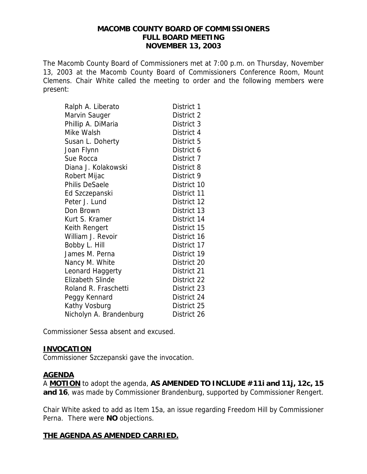#### **MACOMB COUNTY BOARD OF COMMISSIONERS FULL BOARD MEETING NOVEMBER 13, 2003**

The Macomb County Board of Commissioners met at 7:00 p.m. on Thursday, November 13, 2003 at the Macomb County Board of Commissioners Conference Room, Mount Clemens. Chair White called the meeting to order and the following members were present:

| Ralph A. Liberato       | District 1  |
|-------------------------|-------------|
| Marvin Sauger           | District 2  |
| Phillip A. DiMaria      | District 3  |
| Mike Walsh              | District 4  |
| Susan L. Doherty        | District 5  |
| Joan Flynn              | District 6  |
| Sue Rocca               | District 7  |
| Diana J. Kolakowski     | District 8  |
| Robert Mijac            | District 9  |
| <b>Philis DeSaele</b>   | District 10 |
| Ed Szczepanski          | District 11 |
| Peter J. Lund           | District 12 |
| Don Brown               | District 13 |
| Kurt S. Kramer          | District 14 |
| Keith Rengert           | District 15 |
| William J. Revoir       | District 16 |
| Bobby L. Hill           | District 17 |
| James M. Perna          | District 19 |
| Nancy M. White          | District 20 |
| Leonard Haggerty        | District 21 |
| <b>Elizabeth Slinde</b> | District 22 |
| Roland R. Fraschetti    | District 23 |
| Peggy Kennard           | District 24 |
| Kathy Vosburg           | District 25 |
| Nicholyn A. Brandenburg | District 26 |

Commissioner Sessa absent and excused.

#### **INVOCATION**

Commissioner Szczepanski gave the invocation.

#### **AGENDA**

A **MOTION** to adopt the agenda, **AS AMENDED TO INCLUDE #11i and 11j, 12c, 15 and 16**, was made by Commissioner Brandenburg, supported by Commissioner Rengert.

Chair White asked to add as Item 15a, an issue regarding Freedom Hill by Commissioner Perna. There were **NO** objections.

#### **THE AGENDA AS AMENDED CARRIED.**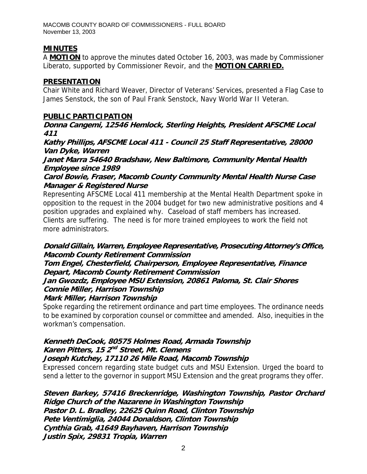## **MINUTES**

A **MOTION** to approve the minutes dated October 16, 2003, was made by Commissioner Liberato, supported by Commissioner Revoir, and the **MOTION CARRIED.**

### **PRESENTATION**

Chair White and Richard Weaver, Director of Veterans' Services, presented a Flag Case to James Senstock, the son of Paul Frank Senstock, Navy World War II Veteran.

#### **PUBLIC PARTICIPATION**

**Donna Cangemi, 12546 Hemlock, Sterling Heights, President AFSCME Local 411** 

**Kathy Phillips, AFSCME Local 411 - Council 25 Staff Representative, 28000 Van Dyke, Warren** 

**Janet Marra 54640 Bradshaw, New Baltimore, Community Mental Health Employee since 1989** 

**Carol Bowie, Fraser, Macomb County Community Mental Health Nurse Case Manager & Registered Nurse**

Representing AFSCME Local 411 membership at the Mental Health Department spoke in opposition to the request in the 2004 budget for two new administrative positions and 4 position upgrades and explained why. Caseload of staff members has increased. Clients are suffering. The need is for more trained employees to work the field not more administrators.

## **Donald Gillain, Warren, Employee Representative, Prosecuting Attorney's Office, Macomb County Retirement Commission**

### **Tom Engel, Chesterfield, Chairperson, Employee Representative, Finance Depart, Macomb County Retirement Commission**

## **Jan Gwozdz, Employee MSU Extension, 20861 Paloma, St. Clair Shores Connie Miller, Harrison Township**

#### **Mark Miller, Harrison Township**

Spoke regarding the retirement ordinance and part time employees. The ordinance needs to be examined by corporation counsel or committee and amended. Also, inequities in the workman's compensation.

# **Kenneth DeCook, 80575 Holmes Road, Armada Township Karen Pitters, 15 2nd Street, Mt. Clemens**

### **Joseph Kutchey, 17110 26 Mile Road, Macomb Township**

Expressed concern regarding state budget cuts and MSU Extension. Urged the board to send a letter to the governor in support MSU Extension and the great programs they offer.

**Steven Barkey, 57416 Breckenridge, Washington Township, Pastor Orchard Ridge Church of the Nazarene in Washington Township Pastor D. L. Bradley, 22625 Quinn Road, Clinton Township Pete Ventimiglia, 24044 Donaldson, Clinton Township Cynthia Grab, 41649 Bayhaven, Harrison Township Justin Spix, 29831 Tropia, Warren**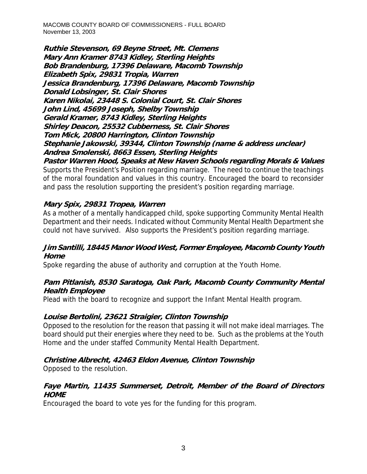**Ruthie Stevenson, 69 Beyne Street, Mt. Clemens Mary Ann Kramer 8743 Kidley, Sterling Heights Bob Brandenburg, 17396 Delaware, Macomb Township Elizabeth Spix, 29831 Tropia, Warren Jessica Brandenburg, 17396 Delaware, Macomb Township Donald Lobsinger, St. Clair Shores Karen Nikolai, 23448 S. Colonial Court, St. Clair Shores John Lind, 45699 Joseph, Shelby Township Gerald Kramer, 8743 Kidley, Sterling Heights Shirley Deacon, 25532 Cubberness, St. Clair Shores Tom Mick, 20800 Harrington, Clinton Township Stephanie Jakowski, 39344, Clinton Township (name & address unclear) Andrea Smolenski, 8663 Essen, Sterling Heights** 

**Pastor Warren Hood, Speaks at New Haven Schools regarding Morals & Values**  Supports the President's Position regarding marriage. The need to continue the teachings of the moral foundation and values in this country. Encouraged the board to reconsider and pass the resolution supporting the president's position regarding marriage.

## **Mary Spix, 29831 Tropea, Warren**

As a mother of a mentally handicapped child, spoke supporting Community Mental Health Department and their needs. Indicated without Community Mental Health Department she could not have survived. Also supports the President's position regarding marriage.

#### **Jim Santilli, 18445 Manor Wood West, Former Employee, Macomb County Youth Home**

Spoke regarding the abuse of authority and corruption at the Youth Home.

### **Pam Pitlanish, 8530 Saratoga, Oak Park, Macomb County Community Mental Health Employee**

Plead with the board to recognize and support the Infant Mental Health program.

### **Louise Bertolini, 23621 Straigier, Clinton Township**

Opposed to the resolution for the reason that passing it will not make ideal marriages. The board should put their energies where they need to be. Such as the problems at the Youth Home and the under staffed Community Mental Health Department.

### **Christine Albrecht, 42463 Eldon Avenue, Clinton Township**

Opposed to the resolution.

### **Faye Martin, 11435 Summerset, Detroit, Member of the Board of Directors HOME**

Encouraged the board to vote yes for the funding for this program.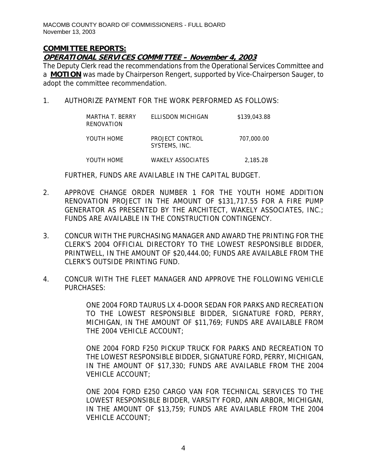#### **COMMITTEE REPORTS: OPERATIONAL SERVICES COMMITTEE – November 4, 2003**

The Deputy Clerk read the recommendations from the Operational Services Committee and a **MOTION** was made by Chairperson Rengert, supported by Vice-Chairperson Sauger, to adopt the committee recommendation.

1. AUTHORIZE PAYMENT FOR THE WORK PERFORMED AS FOLLOWS:

| MARTHA T. BERRY<br>RENOVATION | ELLISDON MICHIGAN                | \$139,043.88 |
|-------------------------------|----------------------------------|--------------|
| YOUTH HOME                    | PROJECT CONTROL<br>SYSTEMS, INC. | 707,000.00   |
| YOUTH HOME                    | WAKELY ASSOCIATES                | 2,185.28     |

FURTHER, FUNDS ARE AVAILABLE IN THE CAPITAL BUDGET.

- 2. APPROVE CHANGE ORDER NUMBER 1 FOR THE YOUTH HOME ADDITION RENOVATION PROJECT IN THE AMOUNT OF \$131,717.55 FOR A FIRE PUMP GENERATOR AS PRESENTED BY THE ARCHITECT, WAKELY ASSOCIATES, INC.; FUNDS ARE AVAILABLE IN THE CONSTRUCTION CONTINGENCY.
- 3. CONCUR WITH THE PURCHASING MANAGER AND AWARD THE PRINTING FOR THE CLERK'S 2004 OFFICIAL DIRECTORY TO THE LOWEST RESPONSIBLE BIDDER, PRINTWELL, IN THE AMOUNT OF \$20,444.00; FUNDS ARE AVAILABLE FROM THE CLERK'S OUTSIDE PRINTING FUND.
- 4. CONCUR WITH THE FLEET MANAGER AND APPROVE THE FOLLOWING VEHICLE PURCHASES:

ONE 2004 FORD TAURUS LX 4-DOOR SEDAN FOR PARKS AND RECREATION TO THE LOWEST RESPONSIBLE BIDDER, SIGNATURE FORD, PERRY, MICHIGAN, IN THE AMOUNT OF \$11,769; FUNDS ARE AVAILABLE FROM THE 2004 VEHICLE ACCOUNT;

ONE 2004 FORD F250 PICKUP TRUCK FOR PARKS AND RECREATION TO THE LOWEST RESPONSIBLE BIDDER, SIGNATURE FORD, PERRY, MICHIGAN, IN THE AMOUNT OF \$17,330; FUNDS ARE AVAILABLE FROM THE 2004 VEHICLE ACCOUNT;

ONE 2004 FORD E250 CARGO VAN FOR TECHNICAL SERVICES TO THE LOWEST RESPONSIBLE BIDDER, VARSITY FORD, ANN ARBOR, MICHIGAN, IN THE AMOUNT OF \$13,759; FUNDS ARE AVAILABLE FROM THE 2004 VEHICLE ACCOUNT;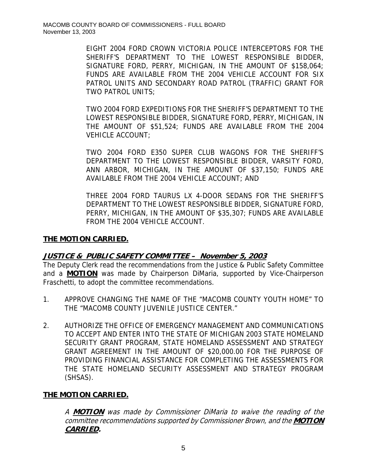EIGHT 2004 FORD CROWN VICTORIA POLICE INTERCEPTORS FOR THE SHERIFF'S DEPARTMENT TO THE LOWEST RESPONSIBLE BIDDER, SIGNATURE FORD, PERRY, MICHIGAN, IN THE AMOUNT OF \$158,064; FUNDS ARE AVAILABLE FROM THE 2004 VEHICLE ACCOUNT FOR SIX PATROL UNITS AND SECONDARY ROAD PATROL (TRAFFIC) GRANT FOR TWO PATROL UNITS;

TWO 2004 FORD EXPEDITIONS FOR THE SHERIFF'S DEPARTMENT TO THE LOWEST RESPONSIBLE BIDDER, SIGNATURE FORD, PERRY, MICHIGAN, IN THE AMOUNT OF \$51,524; FUNDS ARE AVAILABLE FROM THE 2004 VEHICLE ACCOUNT;

TWO 2004 FORD E350 SUPER CLUB WAGONS FOR THE SHERIFF'S DEPARTMENT TO THE LOWEST RESPONSIBLE BIDDER, VARSITY FORD, ANN ARBOR, MICHIGAN, IN THE AMOUNT OF \$37,150; FUNDS ARE AVAILABLE FROM THE 2004 VEHICLE ACCOUNT; AND

THREE 2004 FORD TAURUS LX 4-DOOR SEDANS FOR THE SHERIFF'S DEPARTMENT TO THE LOWEST RESPONSIBLE BIDDER, SIGNATURE FORD, PERRY, MICHIGAN, IN THE AMOUNT OF \$35,307; FUNDS ARE AVAILABLE FROM THE 2004 VEHICLE ACCOUNT.

#### **THE MOTION CARRIED.**

#### **JUSTICE & PUBLIC SAFETY COMMITTEE – November 5, 2003**

The Deputy Clerk read the recommendations from the Justice & Public Safety Committee and a **MOTION** was made by Chairperson DiMaria, supported by Vice-Chairperson Fraschetti, to adopt the committee recommendations.

- 1. APPROVE CHANGING THE NAME OF THE "MACOMB COUNTY YOUTH HOME" TO THE "MACOMB COUNTY JUVENILE JUSTICE CENTER."
- 2. AUTHORIZE THE OFFICE OF EMERGENCY MANAGEMENT AND COMMUNICATIONS TO ACCEPT AND ENTER INTO THE STATE OF MICHIGAN 2003 STATE HOMELAND SECURITY GRANT PROGRAM, STATE HOMELAND ASSESSMENT AND STRATEGY GRANT AGREEMENT IN THE AMOUNT OF \$20,000.00 FOR THE PURPOSE OF PROVIDING FINANCIAL ASSISTANCE FOR COMPLETING THE ASSESSMENTS FOR THE STATE HOMELAND SECURITY ASSESSMENT AND STRATEGY PROGRAM (SHSAS).

### **THE MOTION CARRIED.**

A **MOTION** was made by Commissioner DiMaria to waive the reading of the committee recommendations supported by Commissioner Brown, and the **MOTION CARRIED.**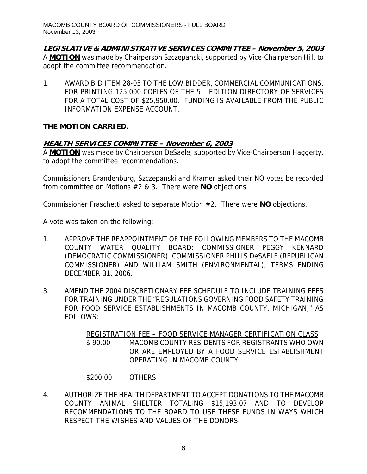**LEGISLATIVE & ADMINISTRATIVE SERVICES COMMITTEE – November 5, 2003**

A **MOTION** was made by Chairperson Szczepanski, supported by Vice-Chairperson Hill, to adopt the committee recommendation.

1. AWARD BID ITEM 28-03 TO THE LOW BIDDER, COMMERCIAL COMMUNICATIONS, FOR PRINTING 125,000 COPIES OF THE 5TH EDITION DIRECTORY OF SERVICES FOR A TOTAL COST OF \$25,950.00. FUNDING IS AVAILABLE FROM THE PUBLIC INFORMATION EXPENSE ACCOUNT.

## **THE MOTION CARRIED.**

## **HEALTH SERVICES COMMITTEE – November 6, 2003**

A **MOTION** was made by Chairperson DeSaele, supported by Vice-Chairperson Haggerty, to adopt the committee recommendations.

Commissioners Brandenburg, Szczepanski and Kramer asked their NO votes be recorded from committee on Motions #2 & 3. There were **NO** objections.

Commissioner Fraschetti asked to separate Motion #2. There were **NO** objections.

A vote was taken on the following:

- 1. APPROVE THE REAPPOINTMENT OF THE FOLLOWING MEMBERS TO THE MACOMB COUNTY WATER QUALITY BOARD: COMMISSIONER PEGGY KENNARD (DEMOCRATIC COMMISSIONER), COMMISSIONER PHILIS DeSAELE (REPUBLICAN COMMISSIONER) AND WILLIAM SMITH (ENVIRONMENTAL), TERMS ENDING DECEMBER 31, 2006.
- 3. AMEND THE 2004 DISCRETIONARY FEE SCHEDULE TO INCLUDE TRAINING FEES FOR TRAINING UNDER THE "REGULATIONS GOVERNING FOOD SAFETY TRAINING FOR FOOD SERVICE ESTABLISHMENTS IN MACOMB COUNTY, MICHIGAN," AS FOLLOWS:

REGISTRATION FEE – FOOD SERVICE MANAGER CERTIFICATION CLASS \$ 90.00 MACOMB COUNTY RESIDENTS FOR REGISTRANTS WHO OWN OR ARE EMPLOYED BY A FOOD SERVICE ESTABLISHMENT OPERATING IN MACOMB COUNTY.

### \$200.00 OTHERS

4. AUTHORIZE THE HEALTH DEPARTMENT TO ACCEPT DONATIONS TO THE MACOMB COUNTY ANIMAL SHELTER TOTALING \$15,193.07 AND TO DEVELOP RECOMMENDATIONS TO THE BOARD TO USE THESE FUNDS IN WAYS WHICH RESPECT THE WISHES AND VALUES OF THE DONORS.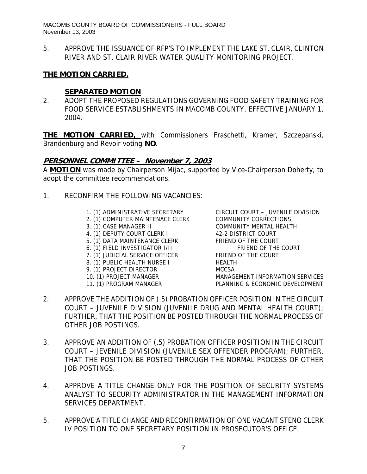5. APPROVE THE ISSUANCE OF RFP'S TO IMPLEMENT THE LAKE ST. CLAIR, CLINTON RIVER AND ST. CLAIR RIVER WATER QUALITY MONITORING PROJECT.

#### **THE MOTION CARRIED.**

#### **SEPARATED MOTION**

2. ADOPT THE PROPOSED REGULATIONS GOVERNING FOOD SAFETY TRAINING FOR FOOD SERVICE ESTABLISHMENTS IN MACOMB COUNTY, EFFECTIVE JANUARY 1, 2004.

**THE MOTION CARRIED,** with Commissioners Fraschetti, Kramer, Szczepanski, Brandenburg and Revoir voting **NO**.

#### **PERSONNEL COMMITTEE – November 7, 2003**

A **MOTION** was made by Chairperson Mijac, supported by Vice-Chairperson Doherty, to adopt the committee recommendations.

- 1. RECONFIRM THE FOLLOWING VACANCIES:
	-
	- 2. (1) COMPUTER MAINTENACE CLERK COMMUNITY CORRECTIONS
	-
	- 4. (1) DEPUTY COURT CLERK I 42-2 DISTRICT COURT
	- 5. (1) DATA MAINTENANCE CLERK FRIEND OF THE COURT
	- 6. (1) FIELD INVESTIGATOR  $I/I$  FRIEND OF THE COURT
	-
	- 8. (1) PUBLIC HEALTH NURSE I HEALTH
	- 9. (1) PROJECT DIRECTOR MCCSA
	-
	-

1. (1) ADMINISTRATIVE SECRETARY CIRCUIT COURT – JUVENILE DIVISION 3. (1) CASE MANAGER II COMMUNITY MENTAL HEALTH  $\sigma$ . (1) FIELD INVESTIGATOR IT.<br>
7. (1) JUDICIAL SERVICE OFFICER FRIEND OF THE COURT 10. (1) PROJECT MANAGER MANAGEMENT INFORMATION SERVICES 11. (1) PROGRAM MANAGER PLANNING & ECONOMIC DEVELOPMENT

- 2. APPROVE THE ADDITION OF (.5) PROBATION OFFICER POSITION IN THE CIRCUIT COURT – JUVENILE DIVISION (JUVENILE DRUG AND MENTAL HEALTH COURT); FURTHER, THAT THE POSITION BE POSTED THROUGH THE NORMAL PROCESS OF OTHER JOB POSTINGS.
- 3. APPROVE AN ADDITION OF (.5) PROBATION OFFICER POSITION IN THE CIRCUIT COURT – JEVENILE DIVISION (JUVENILE SEX OFFENDER PROGRAM); FURTHER, THAT THE POSITION BE POSTED THROUGH THE NORMAL PROCESS OF OTHER JOB POSTINGS.
- 4. APPROVE A TITLE CHANGE ONLY FOR THE POSITION OF SECURITY SYSTEMS ANALYST TO SECURITY ADMINISTRATOR IN THE MANAGEMENT INFORMATION SERVICES DEPARTMENT.
- 5. APPROVE A TITLE CHANGE AND RECONFIRMATION OF ONE VACANT STENO CLERK IV POSITION TO ONE SECRETARY POSITION IN PROSECUTOR'S OFFICE.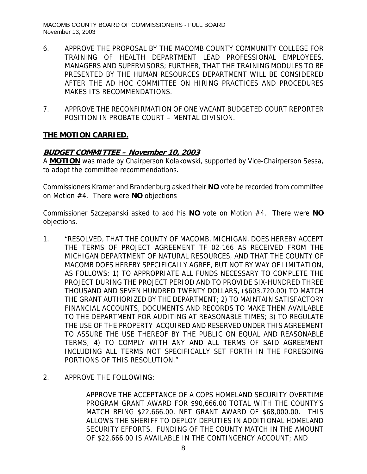- 6. APPROVE THE PROPOSAL BY THE MACOMB COUNTY COMMUNITY COLLEGE FOR TRAINING OF HEALTH DEPARTMENT LEAD PROFESSIONAL EMPLOYEES, MANAGERS AND SUPERVISORS; FURTHER, THAT THE TRAINING MODULES TO BE PRESENTED BY THE HUMAN RESOURCES DEPARTMENT WILL BE CONSIDERED AFTER THE AD HOC COMMITTEE ON HIRING PRACTICES AND PROCEDURES MAKES ITS RECOMMENDATIONS.
- 7. APPROVE THE RECONFIRMATION OF ONE VACANT BUDGETED COURT REPORTER POSITION IN PROBATE COURT – MENTAL DIVISION.

### **THE MOTION CARRIED.**

#### **BUDGET COMMITTEE – November 10, 2003**

A **MOTION** was made by Chairperson Kolakowski, supported by Vice-Chairperson Sessa, to adopt the committee recommendations.

Commissioners Kramer and Brandenburg asked their **NO** vote be recorded from committee on Motion #4. There were **NO** objections

Commissioner Szczepanski asked to add his **NO** vote on Motion #4. There were **NO** objections.

- 1. "RESOLVED, THAT THE COUNTY OF MACOMB, MICHIGAN, DOES HEREBY ACCEPT THE TERMS OF PROJECT AGREEMENT TF 02-166 AS RECEIVED FROM THE MICHIGAN DEPARTMENT OF NATURAL RESOURCES, AND THAT THE COUNTY OF MACOMB DOES HEREBY SPECIFICALLY AGREE, BUT NOT BY WAY OF LIMITATION, AS FOLLOWS: 1) TO APPROPRIATE ALL FUNDS NECESSARY TO COMPLETE THE PROJECT DURING THE PROJECT PERIOD AND TO PROVIDE SIX-HUNDRED THREE THOUSAND AND SEVEN HUNDRED TWENTY DOLLARS, (\$603,720.00) TO MATCH THE GRANT AUTHORIZED BY THE DEPARTMENT; 2) TO MAINTAIN SATISFACTORY FINANCIAL ACCOUNTS, DOCUMENTS AND RECORDS TO MAKE THEM AVAILABLE TO THE DEPARTMENT FOR AUDITING AT REASONABLE TIMES; 3) TO REGULATE THE USE OF THE PROPERTY ACQUIRED AND RESERVED UNDER THIS AGREEMENT TO ASSURE THE USE THEREOF BY THE PUBLIC ON EQUAL AND REASONABLE TERMS; 4) TO COMPLY WITH ANY AND ALL TERMS OF SAID AGREEMENT INCLUDING ALL TERMS NOT SPECIFICALLY SET FORTH IN THE FOREGOING PORTIONS OF THIS RESOLUTION."
- 2. APPROVE THE FOLLOWING:

APPROVE THE ACCEPTANCE OF A COPS HOMELAND SECURITY OVERTIME PROGRAM GRANT AWARD FOR \$90,666.00 TOTAL WITH THE COUNTY'S MATCH BEING \$22,666.00, NET GRANT AWARD OF \$68,000.00. THIS ALLOWS THE SHERIFF TO DEPLOY DEPUTIES IN ADDITIONAL HOMELAND SECURITY EFFORTS. FUNDING OF THE COUNTY MATCH IN THE AMOUNT OF \$22,666.00 IS AVAILABLE IN THE CONTINGENCY ACCOUNT; AND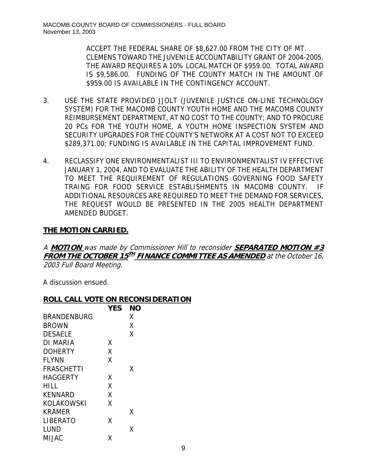ACCEPT THE FEDERAL SHARE OF \$8,627.00 FROM THE CITY OF MT. CLEMENS TOWARD THE JUVENILE ACCOUNTABILITY GRANT OF 2004-2005. THE AWARD REQUIRES A 10% LOCAL MATCH OF \$959.00. TOTAL AWARD IS \$9,586.00. FUNDING OF THE COUNTY MATCH IN THE AMOUNT OF \$959.00 IS AVAILABLE IN THE CONTINGENCY ACCOUNT.

- 3. USE THE STATE PROVIDED JJOLT (JUVENILE JUSTICE ON-LINE TECHNOLOGY SYSTEM) FOR THE MACOMB COUNTY YOUTH HOME AND THE MACOMB COUNTY REIMBURSEMENT DEPARTMENT, AT NO COST TO THE COUNTY; AND TO PROCURE 20 PCs FOR THE YOUTH HOME, A YOUTH HOME INSPECTION SYSTEM AND SECURITY UPGRADES FOR THE COUNTY'S NETWORK AT A COST NOT TO EXCEED \$289,371.00; FUNDING IS AVAILABLE IN THE CAPITAL IMPROVEMENT FUND.
- 4. RECLASSIFY ONE ENVIRONMENTALIST III TO ENVIRONMENTALIST IV EFFECTIVE JANUARY 1, 2004, AND TO EVALUATE THE ABILITY OF THE HEALTH DEPARTMENT TO MEET THE REQUIREMENT OF REGULATIONS GOVERNING FOOD SAFETY TRAING FOR FOOD SERVICE ESTABLISHMENTS IN MACOMB COUNTY. IF ADDITIONAL RESOURCES ARE REQUIRED TO MEET THE DEMAND FOR SERVICES, THE REQUEST WOULD BE PRESENTED IN THE 2005 HEALTH DEPARTMENT AMENDED BUDGET.

### **THE MOTION CARRIED.**

A **MOTION** was made by Commissioner Hill to reconsider **SEPARATED MOTION #3 FROM THE OCTOBER 15<sup>TH</sup> FINANCE COMMITTEE AS AMENDED** at the October 16, 2003 Full Board Meeting.

A discussion ensued.

#### **ROLL CALL VOTE ON RECONSIDERATION**

|                    | <b>YES</b> | <b>NO</b> |
|--------------------|------------|-----------|
| <b>BRANDENBURG</b> |            | Χ         |
| <b>BROWN</b>       |            | Χ         |
| <b>DESAELE</b>     |            | Χ         |
| <b>DI MARIA</b>    | X          |           |
| <b>DOHERTY</b>     | χ          |           |
| <b>FLYNN</b>       | χ          |           |
| <b>FRASCHETTI</b>  |            | Χ         |
| <b>HAGGERTY</b>    | X          |           |
| HILL               | X          |           |
| <b>KENNARD</b>     | χ          |           |
| KOLAKOWSKI         | x          |           |
| <b>KRAMER</b>      |            | x         |
| <b>LIBERATO</b>    | x          |           |
| LUND               |            | Χ         |
| MIJAC              | χ          |           |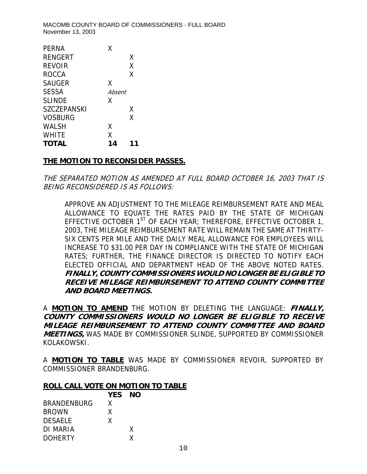| PFRNA              | x      |   |
|--------------------|--------|---|
| RENGERT            |        | X |
| <b>REVOIR</b>      |        | χ |
| <b>ROCCA</b>       |        | Χ |
| <b>SAUGER</b>      | Χ      |   |
| <b>SESSA</b>       | Absent |   |
| <b>SLINDE</b>      | x      |   |
| <b>SZCZEPANSKI</b> |        | Χ |
| <b>VOSBURG</b>     |        | Χ |
| WALSH              | x      |   |
| <b>WHITE</b>       | χ      |   |
| <b>TOTAL</b>       | 14     |   |

#### **THE MOTION TO RECONSIDER PASSES.**

THE SEPARATED MOTION AS AMENDED AT FULL BOARD OCTOBER 16, 2003 THAT IS BEING RECONSIDERED IS AS FOLLOWS:

APPROVE AN ADJUSTMENT TO THE MILEAGE REIMBURSEMENT RATE AND MEAL ALLOWANCE TO EQUATE THE RATES PAID BY THE STATE OF MICHIGAN EFFECTIVE OCTOBER  $1^{ST}$  OF EACH YEAR; THEREFORE, EFFECTIVE OCTOBER 1, 2003, THE MILEAGE REIMBURSEMENT RATE WILL REMAIN THE SAME AT THIRTY-SIX CENTS PER MILE AND THE DAILY MEAL ALLOWANCE FOR EMPLOYEES WILL INCREASE TO \$31.00 PER DAY IN COMPLIANCE WITH THE STATE OF MICHIGAN RATES; FURTHER, THE FINANCE DIRECTOR IS DIRECTED TO NOTIFY EACH ELECTED OFFICIAL AND DEPARTMENT HEAD OF THE ABOVE NOTED RATES. **FINALLY, COUNTY COMMISSIONERS WOULD NO LONGER BE ELIGIBLE TO RECEIVE MILEAGE REIMBURSEMENT TO ATTEND COUNTY COMMITTEE AND BOARD MEETINGS.** 

A **MOTION TO AMEND** THE MOTION BY DELETING THE LANGUAGE: **FINALLY, COUNTY COMMISSIONERS WOULD NO LONGER BE ELIGIBLE TO RECEIVE MILEAGE REIMBURSEMENT TO ATTEND COUNTY COMMITTEE AND BOARD MEETINGS,** WAS MADE BY COMMISSIONER SLINDE, SUPPORTED BY COMMISSIONER KOLAKOWSKI.

A **MOTION TO TABLE** WAS MADE BY COMMISSIONER REVOIR, SUPPORTED BY COMMISSIONER BRANDENBURG.

#### **ROLL CALL VOTE ON MOTION TO TABLE**

|                    | YES NO |   |  |
|--------------------|--------|---|--|
| <b>BRANDENBURG</b> | X      |   |  |
| <b>BROWN</b>       | X      |   |  |
| <b>DESAELE</b>     | X      |   |  |
| DI MARIA           |        | X |  |
| <b>DOHERTY</b>     |        | χ |  |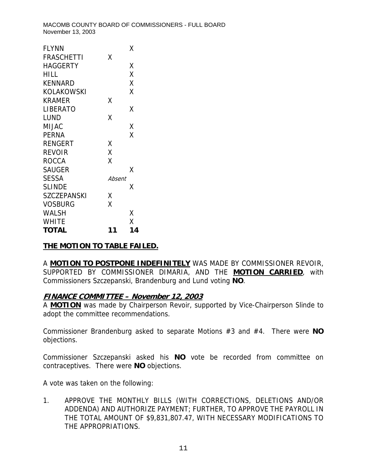| <b>FLYNN</b>      |        | Χ  |
|-------------------|--------|----|
| <b>FRASCHETTI</b> | Χ      |    |
| <b>HAGGERTY</b>   |        | Χ  |
| HILL              |        | X  |
| <b>KENNARD</b>    |        | X  |
| KOLAKOWSKI        |        | Χ  |
| <b>KRAMER</b>     | Χ      |    |
| <b>LIBERATO</b>   |        | χ  |
| LUND              | Χ      |    |
| MIJAC             |        | Χ  |
| <b>PERNA</b>      |        | X  |
| <b>RENGERT</b>    | Χ      |    |
| <b>REVOIR</b>     | X      |    |
| <b>ROCCA</b>      | X      |    |
| <b>SAUGER</b>     |        | Χ  |
| <b>SESSA</b>      | Absent |    |
| <b>SLINDE</b>     |        | Χ  |
| SZCZEPANSKI       | Χ      |    |
| VOSBURG           | Χ      |    |
| WALSH             |        | Χ  |
| WHITE             |        | X  |
| <b>TOTAL</b>      | 11     | 14 |

### **THE MOTION TO TABLE FAILED.**

A **MOTION TO POSTPONE INDEFINITELY** WAS MADE BY COMMISSIONER REVOIR, SUPPORTED BY COMMISSIONER DIMARIA, AND THE **MOTION CARRIED**, with Commissioners Szczepanski, Brandenburg and Lund voting **NO**.

### **FINANCE COMMITTEE – November 12, 2003**

A **MOTION** was made by Chairperson Revoir, supported by Vice-Chairperson Slinde to adopt the committee recommendations.

Commissioner Brandenburg asked to separate Motions #3 and #4. There were **NO** objections.

Commissioner Szczepanski asked his **NO** vote be recorded from committee on contraceptives. There were **NO** objections.

A vote was taken on the following:

1. APPROVE THE MONTHLY BILLS (WITH CORRECTIONS, DELETIONS AND/OR ADDENDA) AND AUTHORIZE PAYMENT; FURTHER, TO APPROVE THE PAYROLL IN THE TOTAL AMOUNT OF \$9,831,807.47, WITH NECESSARY MODIFICATIONS TO THE APPROPRIATIONS.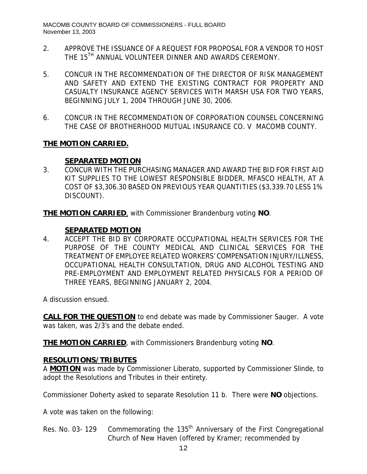- 2. APPROVE THE ISSUANCE OF A REQUEST FOR PROPOSAL FOR A VENDOR TO HOST THE 15<sup>TH</sup> ANNUAL VOLUNTEER DINNER AND AWARDS CEREMONY.
- 5. CONCUR IN THE RECOMMENDATION OF THE DIRECTOR OF RISK MANAGEMENT AND SAFETY AND EXTEND THE EXISTING CONTRACT FOR PROPERTY AND CASUALTY INSURANCE AGENCY SERVICES WITH MARSH USA FOR TWO YEARS, BEGINNING JULY 1, 2004 THROUGH JUNE 30, 2006.
- 6. CONCUR IN THE RECOMMENDATION OF CORPORATION COUNSEL CONCERNING THE CASE OF BROTHERHOOD MUTUAL INSURANCE CO. V MACOMB COUNTY.

## **THE MOTION CARRIED.**

### **SEPARATED MOTION**

3. CONCUR WITH THE PURCHASING MANAGER AND AWARD THE BID FOR FIRST AID KIT SUPPLIES TO THE LOWEST RESPONSIBLE BIDDER, MFASCO HEALTH, AT A COST OF \$3,306.30 BASED ON PREVIOUS YEAR QUANTITIES (\$3,339.70 LESS 1% DISCOUNT).

**THE MOTION CARRIED**, with Commissioner Brandenburg voting **NO**.

## **SEPARATED MOTION**

4. ACCEPT THE BID BY CORPORATE OCCUPATIONAL HEALTH SERVICES FOR THE PURPOSE OF THE COUNTY MEDICAL AND CLINICAL SERVICES FOR THE TREATMENT OF EMPLOYEE RELATED WORKERS' COMPENSATION INJURY/ILLNESS, OCCUPATIONAL HEALTH CONSULTATION, DRUG AND ALCOHOL TESTING AND PRE-EMPLOYMENT AND EMPLOYMENT RELATED PHYSICALS FOR A PERIOD OF THREE YEARS, BEGINNING JANUARY 2, 2004.

A discussion ensued.

**CALL FOR THE QUESTION** to end debate was made by Commissioner Sauger. A vote was taken, was 2/3's and the debate ended.

**THE MOTION CARRIED**, with Commissioners Brandenburg voting **NO**.

### **RESOLUTIONS/TRIBUTES**

A **MOTION** was made by Commissioner Liberato, supported by Commissioner Slinde, to adopt the Resolutions and Tributes in their entirety.

Commissioner Doherty asked to separate Resolution 11 b. There were **NO** objections.

A vote was taken on the following:

Res. No. 03- 129 Commemorating the 135<sup>th</sup> Anniversary of the First Congregational Church of New Haven (offered by Kramer; recommended by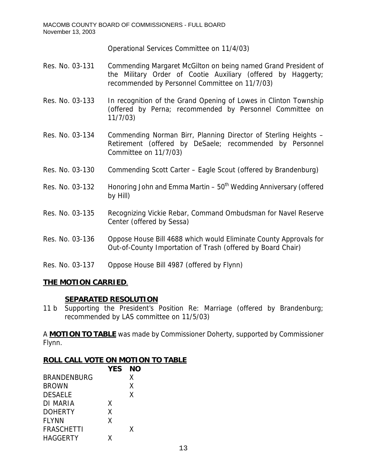Operational Services Committee on 11/4/03)

- Res. No. 03-131 Commending Margaret McGilton on being named Grand President of the Military Order of Cootie Auxiliary (offered by Haggerty; recommended by Personnel Committee on 11/7/03)
- Res. No. 03-133 In recognition of the Grand Opening of Lowes in Clinton Township (offered by Perna; recommended by Personnel Committee on 11/7/03)
- Res. No. 03-134 Commending Norman Birr, Planning Director of Sterling Heights Retirement (offered by DeSaele; recommended by Personnel Committee on 11/7/03)
- Res. No. 03-130 Commending Scott Carter Eagle Scout (offered by Brandenburg)
- Res. No. 03-132 Honoring John and Emma Martin  $50<sup>th</sup>$  Wedding Anniversary (offered by Hill)
- Res. No. 03-135 Recognizing Vickie Rebar, Command Ombudsman for Navel Reserve Center (offered by Sessa)
- Res. No. 03-136 Oppose House Bill 4688 which would Eliminate County Approvals for Out-of-County Importation of Trash (offered by Board Chair)
- Res. No. 03-137 Oppose House Bill 4987 (offered by Flynn)

### **THE MOTION CARRIED**.

#### **SEPARATED RESOLUTION**

11 b Supporting the President's Position Re: Marriage (offered by Brandenburg; recommended by LAS committee on 11/5/03)

A **MOTION TO TABLE** was made by Commissioner Doherty, supported by Commissioner Flynn.

#### **ROLL CALL VOTE ON MOTION TO TABLE**

|                    | <b>YES</b> | <b>NO</b> |  |
|--------------------|------------|-----------|--|
| <b>BRANDENBURG</b> |            | X         |  |
| <b>BROWN</b>       |            | X         |  |
| <b>DESAELE</b>     |            | X         |  |
| DI MARIA           | X          |           |  |
| <b>DOHERTY</b>     | Χ          |           |  |
| <b>FLYNN</b>       | X          |           |  |
| <b>FRASCHETTI</b>  |            | X         |  |
| <b>HAGGERTY</b>    | x          |           |  |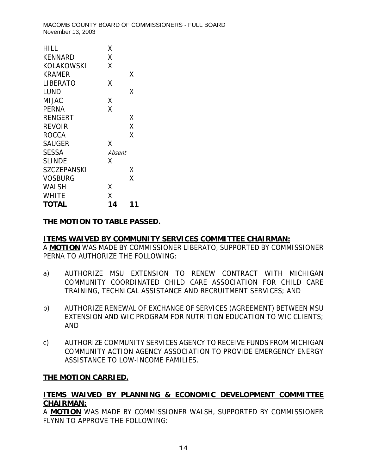| HILL               | Χ      |    |
|--------------------|--------|----|
| <b>KENNARD</b>     | Χ      |    |
| KOLAKOWSKI         | χ      |    |
| KRAMER             |        | Χ  |
| LIBERATO           | Χ      |    |
| LUND               |        | Χ  |
| MIJAC              | Χ      |    |
| <b>PERNA</b>       | Χ      |    |
| RENGERT            |        | Х  |
| REVOIR             |        | Χ  |
| ROCCA              |        | X  |
| <b>SAUGER</b>      | Χ      |    |
| <b>SESSA</b>       | Absent |    |
| <b>SLINDE</b>      | x      |    |
| <b>SZCZEPANSKI</b> |        | Х  |
| VOSBURG            |        | Χ  |
| WALSH              | Χ      |    |
| WHITE              | Χ      |    |
| <b>TOTAL</b>       | 14     | 11 |

## **THE MOTION TO TABLE PASSED.**

#### **ITEMS WAIVED BY COMMUNITY SERVICES COMMITTEE CHAIRMAN:**

A **MOTION** WAS MADE BY COMMISSIONER LIBERATO, SUPPORTED BY COMMISSIONER PERNA TO AUTHORIZE THE FOLLOWING:

- a) AUTHORIZE MSU EXTENSION TO RENEW CONTRACT WITH MICHIGAN COMMUNITY COORDINATED CHILD CARE ASSOCIATION FOR CHILD CARE TRAINING, TECHNICAL ASSISTANCE AND RECRUITMENT SERVICES; AND
- b) AUTHORIZE RENEWAL OF EXCHANGE OF SERVICES (AGREEMENT) BETWEEN MSU EXTENSION AND WIC PROGRAM FOR NUTRITION EDUCATION TO WIC CLIENTS; AND
- c) AUTHORIZE COMMUNITY SERVICES AGENCY TO RECEIVE FUNDS FROM MICHIGAN COMMUNITY ACTION AGENCY ASSOCIATION TO PROVIDE EMERGENCY ENERGY ASSISTANCE TO LOW-INCOME FAMILIES.

#### **THE MOTION CARRIED.**

## **ITEMS WAIVED BY PLANNING & ECONOMIC DEVELOPMENT COMMITTEE CHAIRMAN:**

A **MOTION** WAS MADE BY COMMISSIONER WALSH, SUPPORTED BY COMMISSIONER FLYNN TO APPROVE THE FOLLOWING: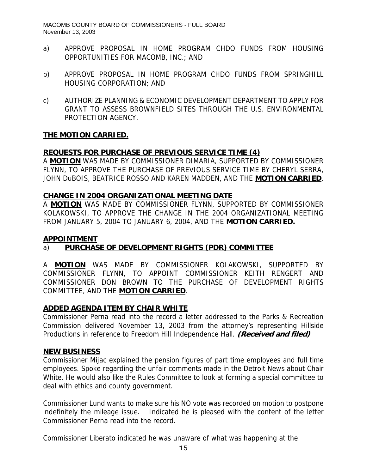- a) APPROVE PROPOSAL IN HOME PROGRAM CHDO FUNDS FROM HOUSING OPPORTUNITIES FOR MACOMB, INC.; AND
- b) APPROVE PROPOSAL IN HOME PROGRAM CHDO FUNDS FROM SPRINGHILL HOUSING CORPORATION; AND
- c) AUTHORIZE PLANNING & ECONOMIC DEVELOPMENT DEPARTMENT TO APPLY FOR GRANT TO ASSESS BROWNFIELD SITES THROUGH THE U.S. ENVIRONMENTAL PROTECTION AGENCY.

#### **THE MOTION CARRIED.**

#### **REQUESTS FOR PURCHASE OF PREVIOUS SERVICE TIME (4)**

A **MOTION** WAS MADE BY COMMISSIONER DIMARIA, SUPPORTED BY COMMISSIONER FLYNN, TO APPROVE THE PURCHASE OF PREVIOUS SERVICE TIME BY CHERYL SERRA, JOHN DuBOIS, BEATRICE ROSSO AND KAREN MADDEN, AND THE **MOTION CARRIED**.

#### **CHANGE IN 2004 ORGANIZATIONAL MEETING DATE**

A **MOTION** WAS MADE BY COMMISSIONER FLYNN, SUPPORTED BY COMMISSIONER KOLAKOWSKI, TO APPROVE THE CHANGE IN THE 2004 ORGANIZATIONAL MEETING FROM JANUARY 5, 2004 TO JANUARY 6, 2004, AND THE **MOTION CARRIED.**

#### **APPOINTMENT**

### a) **PURCHASE OF DEVELOPMENT RIGHTS (PDR) COMMITTEE**

A **MOTION** WAS MADE BY COMMISSIONER KOLAKOWSKI, SUPPORTED BY COMMISSIONER FLYNN, TO APPOINT COMMISSIONER KEITH RENGERT AND COMMISSIONER DON BROWN TO THE PURCHASE OF DEVELOPMENT RIGHTS COMMITTEE, AND THE **MOTION CARRIED**.

#### **ADDED AGENDA ITEM BY CHAIR WHITE**

Commissioner Perna read into the record a letter addressed to the Parks & Recreation Commission delivered November 13, 2003 from the attorney's representing Hillside Productions in reference to Freedom Hill Independence Hall. **(Received and filed)** 

#### **NEW BUSINESS**

Commissioner Mijac explained the pension figures of part time employees and full time employees. Spoke regarding the unfair comments made in the Detroit News about Chair White. He would also like the Rules Committee to look at forming a special committee to deal with ethics and county government.

Commissioner Lund wants to make sure his NO vote was recorded on motion to postpone indefinitely the mileage issue. Indicated he is pleased with the content of the letter Commissioner Perna read into the record.

Commissioner Liberato indicated he was unaware of what was happening at the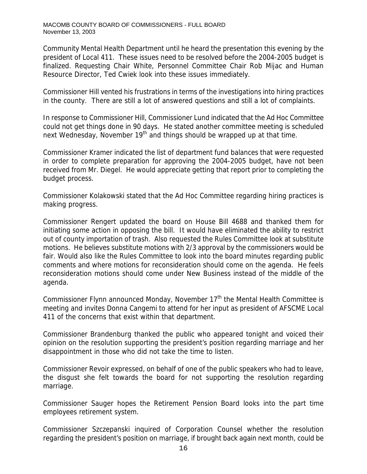Community Mental Health Department until he heard the presentation this evening by the president of Local 411. These issues need to be resolved before the 2004-2005 budget is finalized. Requesting Chair White, Personnel Committee Chair Rob Mijac and Human Resource Director, Ted Cwiek look into these issues immediately.

Commissioner Hill vented his frustrations in terms of the investigations into hiring practices in the county. There are still a lot of answered questions and still a lot of complaints.

In response to Commissioner Hill, Commissioner Lund indicated that the Ad Hoc Committee could not get things done in 90 days. He stated another committee meeting is scheduled next Wednesday, November  $19<sup>th</sup>$  and things should be wrapped up at that time.

Commissioner Kramer indicated the list of department fund balances that were requested in order to complete preparation for approving the 2004-2005 budget, have not been received from Mr. Diegel. He would appreciate getting that report prior to completing the budget process.

Commissioner Kolakowski stated that the Ad Hoc Committee regarding hiring practices is making progress.

Commissioner Rengert updated the board on House Bill 4688 and thanked them for initiating some action in opposing the bill. It would have eliminated the ability to restrict out of county importation of trash. Also requested the Rules Committee look at substitute motions. He believes substitute motions with 2/3 approval by the commissioners would be fair. Would also like the Rules Committee to look into the board minutes regarding public comments and where motions for reconsideration should come on the agenda. He feels reconsideration motions should come under New Business instead of the middle of the agenda.

Commissioner Flynn announced Monday, November  $17<sup>th</sup>$  the Mental Health Committee is meeting and invites Donna Cangemi to attend for her input as president of AFSCME Local 411 of the concerns that exist within that department.

Commissioner Brandenburg thanked the public who appeared tonight and voiced their opinion on the resolution supporting the president's position regarding marriage and her disappointment in those who did not take the time to listen.

Commissioner Revoir expressed, on behalf of one of the public speakers who had to leave, the disgust she felt towards the board for not supporting the resolution regarding marriage.

Commissioner Sauger hopes the Retirement Pension Board looks into the part time employees retirement system.

Commissioner Szczepanski inquired of Corporation Counsel whether the resolution regarding the president's position on marriage, if brought back again next month, could be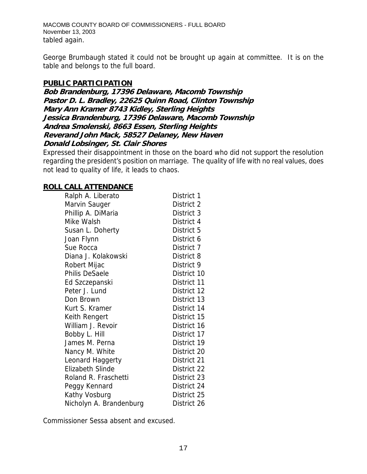MACOMB COUNTY BOARD OF COMMISSIONERS - FULL BOARD November 13, 2003 tabled again.

George Brumbaugh stated it could not be brought up again at committee. It is on the table and belongs to the full board.

#### **PUBLIC PARTICIPATION**

**Bob Brandenburg, 17396 Delaware, Macomb Township Pastor D. L. Bradley, 22625 Quinn Road, Clinton Township Mary Ann Kramer 8743 Kidley, Sterling Heights Jessica Brandenburg, 17396 Delaware, Macomb Township Andrea Smolenski, 8663 Essen, Sterling Heights Reverand John Mack, 58527 Delaney, New Haven Donald Lobsinger, St. Clair Shores** 

Expressed their disappointment in those on the board who did not support the resolution regarding the president's position on marriage. The quality of life with no real values, does not lead to quality of life, it leads to chaos.

#### **ROLL CALL ATTENDANCE**

| Ralph A. Liberato       | District 1  |
|-------------------------|-------------|
| Marvin Sauger           | District 2  |
| Phillip A. DiMaria      | District 3  |
| Mike Walsh              | District 4  |
| Susan L. Doherty        | District 5  |
| Joan Flynn              | District 6  |
| Sue Rocca               | District 7  |
| Diana J. Kolakowski     | District 8  |
| Robert Mijac            | District 9  |
| <b>Philis DeSaele</b>   | District 10 |
| Ed Szczepanski          | District 11 |
| Peter J. Lund           | District 12 |
| Don Brown               | District 13 |
| Kurt S. Kramer          | District 14 |
| Keith Rengert           | District 15 |
| William J. Revoir       | District 16 |
| Bobby L. Hill           | District 17 |
| James M. Perna          | District 19 |
| Nancy M. White          | District 20 |
| Leonard Haggerty        | District 21 |
| <b>Elizabeth Slinde</b> | District 22 |
| Roland R. Fraschetti    | District 23 |
| Peggy Kennard           | District 24 |
| Kathy Vosburg           | District 25 |
| Nicholyn A. Brandenburg | District 26 |

Commissioner Sessa absent and excused.